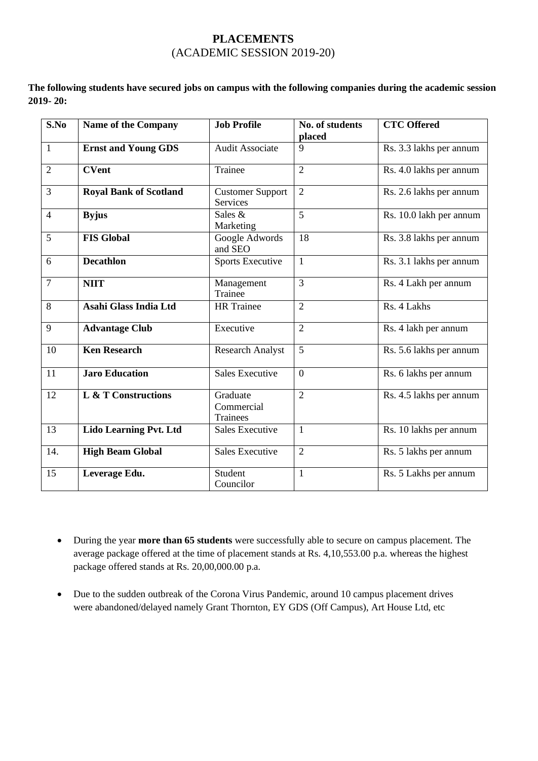## **PLACEMENTS** (ACADEMIC SESSION 2019-20)

**The following students have secured jobs on campus with the following companies during the academic session 2019- 20:**

| S.No           | <b>Name of the Company</b>    | <b>Job Profile</b>                  | No. of students<br>placed | <b>CTC</b> Offered      |
|----------------|-------------------------------|-------------------------------------|---------------------------|-------------------------|
| $\mathbf{1}$   | <b>Ernst and Young GDS</b>    | <b>Audit Associate</b>              | $\mathbf{Q}$              | Rs. 3.3 lakhs per annum |
| $\overline{2}$ | <b>CVent</b>                  | Trainee                             | $\overline{2}$            | Rs. 4.0 lakhs per annum |
| $\overline{3}$ | <b>Royal Bank of Scotland</b> | <b>Customer Support</b><br>Services | $\overline{2}$            | Rs. 2.6 lakhs per annum |
| $\overline{4}$ | <b>Byjus</b>                  | Sales $&$<br>Marketing              | 5                         | Rs. 10.0 lakh per annum |
| 5              | <b>FIS Global</b>             | Google Adwords<br>and SEO           | 18                        | Rs. 3.8 lakhs per annum |
| 6              | <b>Decathlon</b>              | <b>Sports Executive</b>             | $\mathbf{1}$              | Rs. 3.1 lakhs per annum |
| $\overline{7}$ | <b>NIIT</b>                   | Management<br>Trainee               | 3                         | Rs. 4 Lakh per annum    |
| 8              | Asahi Glass India Ltd         | <b>HR</b> Trainee                   | $\overline{2}$            | Rs. 4 Lakhs             |
| 9              | <b>Advantage Club</b>         | Executive                           | $\overline{2}$            | Rs. 4 lakh per annum    |
| 10             | <b>Ken Research</b>           | <b>Research Analyst</b>             | 5                         | Rs. 5.6 lakhs per annum |
| 11             | <b>Jaro Education</b>         | <b>Sales Executive</b>              | $\Omega$                  | Rs. 6 lakhs per annum   |
| 12             | L & T Constructions           | Graduate<br>Commercial<br>Trainees  | $\overline{2}$            | Rs. 4.5 lakhs per annum |
| 13             | Lido Learning Pvt. Ltd        | <b>Sales Executive</b>              | $\mathbf{1}$              | Rs. 10 lakhs per annum  |
| 14.            | <b>High Beam Global</b>       | <b>Sales Executive</b>              | $\overline{2}$            | Rs. 5 lakhs per annum   |
| 15             | Leverage Edu.                 | Student<br>Councilor                | $\mathbf{1}$              | Rs. 5 Lakhs per annum   |

• During the year **more than 65 students** were successfully able to secure on campus placement. The average package offered at the time of placement stands at Rs. 4,10,553.00 p.a. whereas the highest package offered stands at Rs. 20,00,000.00 p.a.

• Due to the sudden outbreak of the Corona Virus Pandemic, around 10 campus placement drives were abandoned/delayed namely Grant Thornton, EY GDS (Off Campus), Art House Ltd, etc